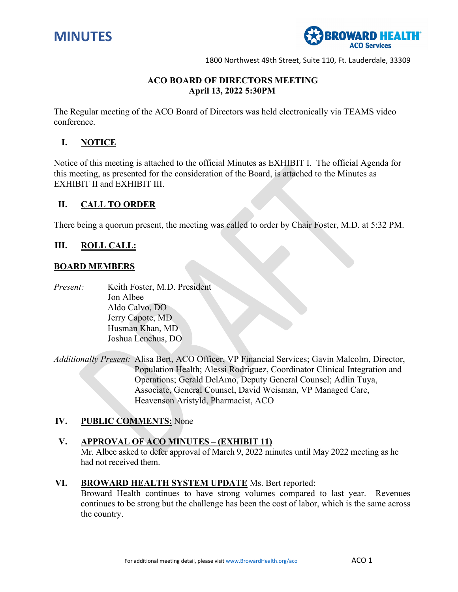



# 35T**ACO BOARD OF DIRECTORS MEETING April 13, 2022 5:30PM**

The Regular meeting of the ACO Board of Directors was held electronically via TEAMS video conference.

## **I. NOTICE**

Notice of this meeting is attached to the official Minutes as EXHIBIT I. The official Agenda for this meeting, as presented for the consideration of the Board, is attached to the Minutes as EXHIBIT II and EXHIBIT III.

## **II. CALL TO ORDER**

There being a quorum present, the meeting was called to order by Chair Foster, M.D. at 5:32 PM.

### **III. ROLL CALL:**

#### **BOARD MEMBERS**

*Present:* Keith Foster, M.D. President Jon Albee Aldo Calvo, DO Jerry Capote, MD Husman Khan, MD Joshua Lenchus, DO

*Additionally Present:* Alisa Bert, ACO Officer, VP Financial Services; Gavin Malcolm, Director, Population Health; Alessi Rodriguez, Coordinator Clinical Integration and Operations; Gerald DelAmo, Deputy General Counsel; Adlin Tuya, Associate, General Counsel, David Weisman, VP Managed Care, Heavenson Aristyld, Pharmacist, ACO

#### **IV. PUBLIC COMMENTS:** None

#### **V. APPROVAL OF ACO MINUTES – (EXHIBIT 11)**

Mr. Albee asked to defer approval of March 9, 2022 minutes until May 2022 meeting as he had not received them.

#### **VI. BROWARD HEALTH SYSTEM UPDATE** Ms. Bert reported:

Broward Health continues to have strong volumes compared to last year. Revenues continues to be strong but the challenge has been the cost of labor, which is the same across the country.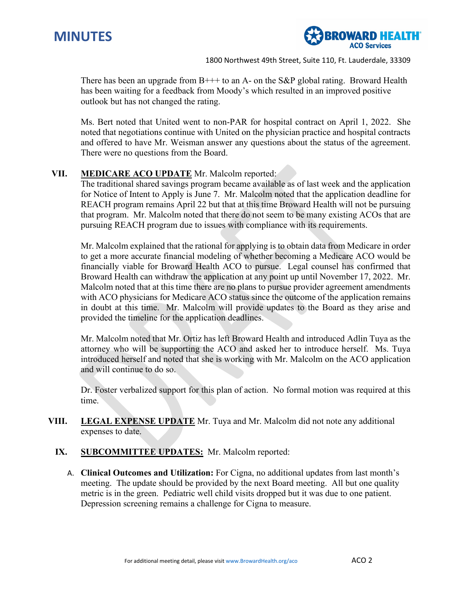



There has been an upgrade from  $B_{++}$  to an A- on the S&P global rating. Broward Health has been waiting for a feedback from Moody's which resulted in an improved positive outlook but has not changed the rating.

Ms. Bert noted that United went to non-PAR for hospital contract on April 1, 2022. She noted that negotiations continue with United on the physician practice and hospital contracts and offered to have Mr. Weisman answer any questions about the status of the agreement. There were no questions from the Board.

## **VII. MEDICARE ACO UPDATE** Mr. Malcolm reported:

The traditional shared savings program became available as of last week and the application for Notice of Intent to Apply is June 7. Mr. Malcolm noted that the application deadline for REACH program remains April 22 but that at this time Broward Health will not be pursuing that program. Mr. Malcolm noted that there do not seem to be many existing ACOs that are pursuing REACH program due to issues with compliance with its requirements.

Mr. Malcolm explained that the rational for applying is to obtain data from Medicare in order to get a more accurate financial modeling of whether becoming a Medicare ACO would be financially viable for Broward Health ACO to pursue. Legal counsel has confirmed that Broward Health can withdraw the application at any point up until November 17, 2022. Mr. Malcolm noted that at this time there are no plans to pursue provider agreement amendments with ACO physicians for Medicare ACO status since the outcome of the application remains in doubt at this time. Mr. Malcolm will provide updates to the Board as they arise and provided the timeline for the application deadlines.

Mr. Malcolm noted that Mr. Ortiz has left Broward Health and introduced Adlin Tuya as the attorney who will be supporting the ACO and asked her to introduce herself. Ms. Tuya introduced herself and noted that she is working with Mr. Malcolm on the ACO application and will continue to do so.

Dr. Foster verbalized support for this plan of action. No formal motion was required at this time.

- **VIII. LEGAL EXPENSE UPDATE** Mr. Tuya and Mr. Malcolm did not note any additional expenses to date.
	- **IX. SUBCOMMITTEE UPDATES:** Mr. Malcolm reported:
		- A. **Clinical Outcomes and Utilization:** For Cigna, no additional updates from last month's meeting. The update should be provided by the next Board meeting. All but one quality metric is in the green. Pediatric well child visits dropped but it was due to one patient. Depression screening remains a challenge for Cigna to measure.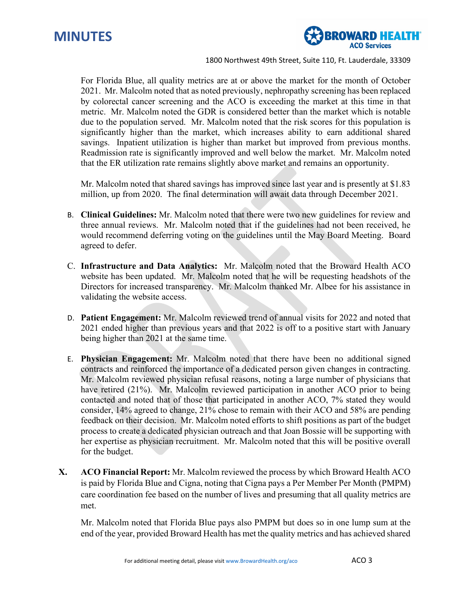



For Florida Blue, all quality metrics are at or above the market for the month of October 2021. Mr. Malcolm noted that as noted previously, nephropathy screening has been replaced by colorectal cancer screening and the ACO is exceeding the market at this time in that metric. Mr. Malcolm noted the GDR is considered better than the market which is notable due to the population served. Mr. Malcolm noted that the risk scores for this population is significantly higher than the market, which increases ability to earn additional shared savings. Inpatient utilization is higher than market but improved from previous months. Readmission rate is significantly improved and well below the market. Mr. Malcolm noted that the ER utilization rate remains slightly above market and remains an opportunity.

Mr. Malcolm noted that shared savings has improved since last year and is presently at \$1.83 million, up from 2020. The final determination will await data through December 2021.

- B. **Clinical Guidelines:** Mr. Malcolm noted that there were two new guidelines for review and three annual reviews. Mr. Malcolm noted that if the guidelines had not been received, he would recommend deferring voting on the guidelines until the May Board Meeting. Board agreed to defer.
- C. **Infrastructure and Data Analytics:** Mr. Malcolm noted that the Broward Health ACO website has been updated. Mr. Malcolm noted that he will be requesting headshots of the Directors for increased transparency. Mr. Malcolm thanked Mr. Albee for his assistance in validating the website access.
- D. **Patient Engagement:** Mr. Malcolm reviewed trend of annual visits for 2022 and noted that 2021 ended higher than previous years and that 2022 is off to a positive start with January being higher than 2021 at the same time.
- E. **Physician Engagement:** Mr. Malcolm noted that there have been no additional signed contracts and reinforced the importance of a dedicated person given changes in contracting. Mr. Malcolm reviewed physician refusal reasons, noting a large number of physicians that have retired (21%). Mr. Malcolm reviewed participation in another ACO prior to being contacted and noted that of those that participated in another ACO, 7% stated they would consider, 14% agreed to change, 21% chose to remain with their ACO and 58% are pending feedback on their decision. Mr. Malcolm noted efforts to shift positions as part of the budget process to create a dedicated physician outreach and that Joan Bossie will be supporting with her expertise as physician recruitment. Mr. Malcolm noted that this will be positive overall for the budget.
- **X. ACO Financial Report:** Mr. Malcolm reviewed the process by which Broward Health ACO is paid by Florida Blue and Cigna, noting that Cigna pays a Per Member Per Month (PMPM) care coordination fee based on the number of lives and presuming that all quality metrics are met.

Mr. Malcolm noted that Florida Blue pays also PMPM but does so in one lump sum at the end of the year, provided Broward Health has met the quality metrics and has achieved shared